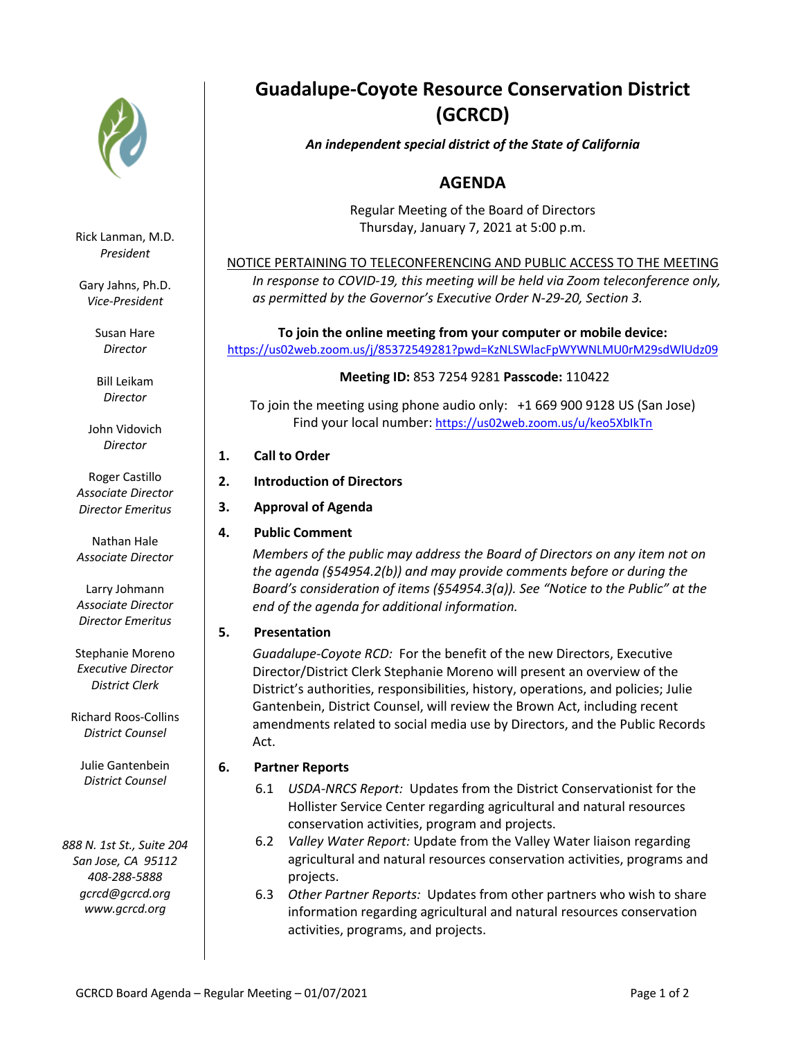

Rick Lanman, M.D. *President*

Gary Jahns, Ph.D. *Vice-President*

> Susan Hare *Director*

Bill Leikam *Director*

John Vidovich *Director*

Roger Castillo *Associate Director Director Emeritus*

Nathan Hale *Associate Director*

Larry Johmann *Associate Director Director Emeritus*

Stephanie Moreno *Executive Director District Clerk*

Richard Roos-Collins *District Counsel*

Julie Gantenbein *District Counsel*

*888 N. 1st St., Suite 204 San Jose, CA 95112 408-288-5888 gcrcd@gcrcd.org www.gcrcd.org*

# **Guadalupe-Coyote Resource Conservation District (GCRCD)**

# *An independent special district of the State of California*

# **AGENDA**

Regular Meeting of the Board of Directors Thursday, January 7, 2021 at 5:00 p.m.

NOTICE PERTAINING TO TELECONFERENCING AND PUBLIC ACCESS TO THE MEETING *In response to COVID-19, this meeting will be held via Zoom teleconference only, as permitted by the Governor's Executive Order N-29-20, Section 3.*

**To join the online meeting from your computer or mobile device:**  https://us02web.zoom.us/j/85372549281?pwd=KzNLSWlacFpWYWNLMU0rM29sdWlUdz09

# **Meeting ID:** 853 7254 9281 **Passcode:** 110422

To join the meeting using phone audio only: +1 669 900 9128 US (San Jose) Find your local number: https://us02web.zoom.us/u/keo5XbIkTn

# **1. Call to Order**

- **2. Introduction of Directors**
- **3. Approval of Agenda**
- **4. Public Comment**

*Members of the public may address the Board of Directors on any item not on the agenda (§54954.2(b)) and may provide comments before or during the Board's consideration of items (§54954.3(a)). See "Notice to the Public" at the end of the agenda for additional information.*

# **5. Presentation**

*Guadalupe-Coyote RCD:* For the benefit of the new Directors, Executive Director/District Clerk Stephanie Moreno will present an overview of the District's authorities, responsibilities, history, operations, and policies; Julie Gantenbein, District Counsel, will review the Brown Act, including recent amendments related to social media use by Directors, and the Public Records Act.

# **6. Partner Reports**

- 6.1 *USDA-NRCS Report:* Updates from the District Conservationist for the Hollister Service Center regarding agricultural and natural resources conservation activities, program and projects.
- 6.2 *Valley Water Report:* Update from the Valley Water liaison regarding agricultural and natural resources conservation activities, programs and projects.
- 6.3 *Other Partner Reports:* Updates from other partners who wish to share information regarding agricultural and natural resources conservation activities, programs, and projects.